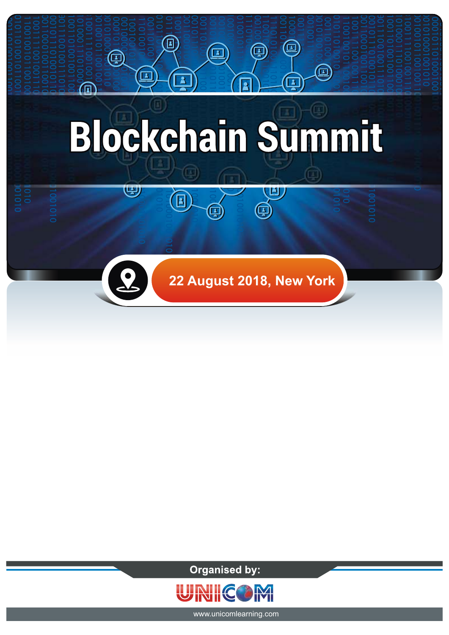

**Organised by:** 



www.unicomlearning.com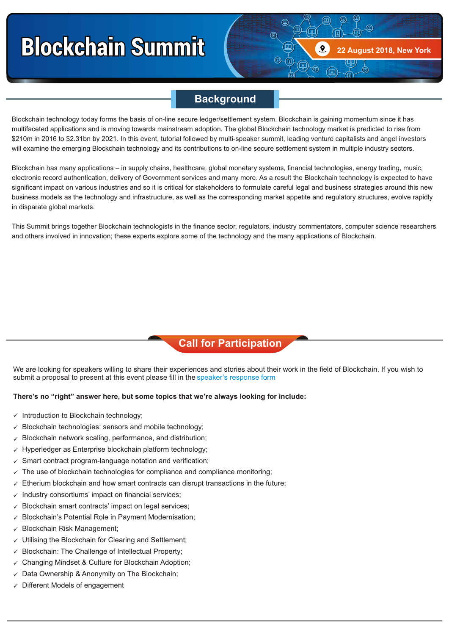## **Blockchain Summit**

### **Background**

**22 August 2018, New York**

回

Blockchain technology today forms the basis of on-line secure ledger/settlement system. Blockchain is gaining momentum since it has multifaceted applications and is moving towards mainstream adoption. The global Blockchain technology market is predicted to rise from \$210m in 2016 to \$2.31bn by 2021. In this event, tutorial followed by multi-speaker summit, leading venture capitalists and angel investors will examine the emerging Blockchain technology and its contributions to on-line secure settlement system in multiple industry sectors.

Blockchain has many applications – in supply chains, healthcare, global monetary systems, financial technologies, energy trading, music, electronic record authentication, delivery of Government services and many more. As a result the Blockchain technology is expected to have significant impact on various industries and so it is critical for stakeholders to formulate careful legal and business strategies around this new business models as the technology and infrastructure, as well as the corresponding market appetite and regulatory structures, evolve rapidly in disparate global markets.

This Summit brings together Blockchain technologists in the finance sector, regulators, industry commentators, computer science researchers and others involved in innovation; these experts explore some of the technology and the many applications of Blockchain.

### **Call for Participation**

We are looking for speakers willing to share their experiences and stories about their work in the field of Blockchain. If you wish to submit a proposal to present at this event please fill in the speaker's response form.

#### **There's no "right" answer here, but some topics that we're always looking for include:**

- $\times$  Introduction to Blockchain technology;
- $\checkmark$  Blockchain technologies: sensors and mobile technology;
- $\checkmark$  Blockchain network scaling, performance, and distribution;
- $\checkmark$  Hyperledger as Enterprise blockchain platform technology;
- $\checkmark$  Smart contract program-language notation and verification;
- $\checkmark$  The use of blockchain technologies for compliance and compliance monitoring;
- $\checkmark$  Etherium blockchain and how smart contracts can disrupt transactions in the future;
- $\checkmark$  Industry consortiums' impact on financial services;
- Blockchain smart contracts' impact on legal services; ü
- Blockchain's Potential Role in Payment Modernisation; ü
- Blockchain Risk Management; ü
- Utilising the Blockchain for Clearing and Settlement; ü
- Blockchain: The Challenge of Intellectual Property; ü
- Changing Mindset & Culture for Blockchain Adoption; ü
- $\checkmark$  Data Ownership & Anonymity on The Blockchain;
- $\checkmark$  Different Models of engagement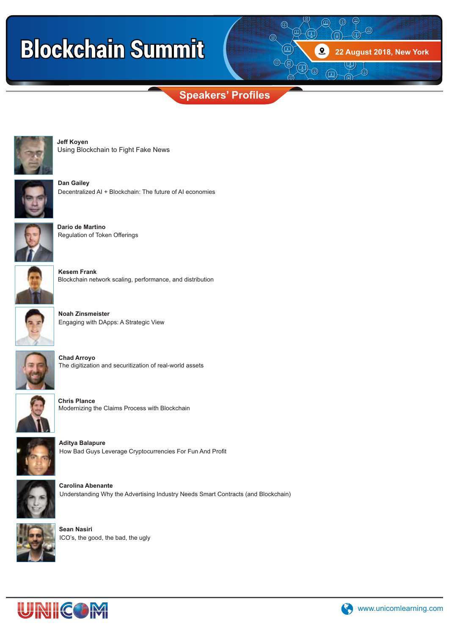# **Blockchain Summit**

**Speakers' Profiles**



Using Blockchain to Fight Fake News **Jeff Koyen**



**Dan Gailey** Decentralized AI + Blockchain: The future of AI economies



**Dario de Martino** Regulation of Token Offerings



**Kesem Frank** Blockchain network scaling, performance, and distribution



**Noah Zinsmeister** Engaging with DApps: A Strategic View



**Chad Arroyo** The digitization and securitization of real-world assets



**Chris Plance** Modernizing the Claims Process with Blockchain



**Aditya Balapure** How Bad Guys Leverage Cryptocurrencies For Fun And Profit



**Carolina Abenante** Understanding Why the Advertising Industry Needs Smart Contracts (and Blockchain)



**Sean Nasiri** ICO's, the good, the bad, the ugly





**22 August 2018, New York**

画

 $\textcircled{\tiny{E}}$  $\textcircled{\scriptsize{\textsf{m}}}$ 

通

 $\textcircled{\scriptsize{1}}$ 

靣

 $\Omega$ 

 $\sqrt{2}$ 

 $\textcircled{\scriptsize{4}}$ 

 $\textcircled{\scriptsize{D}}$ 

4